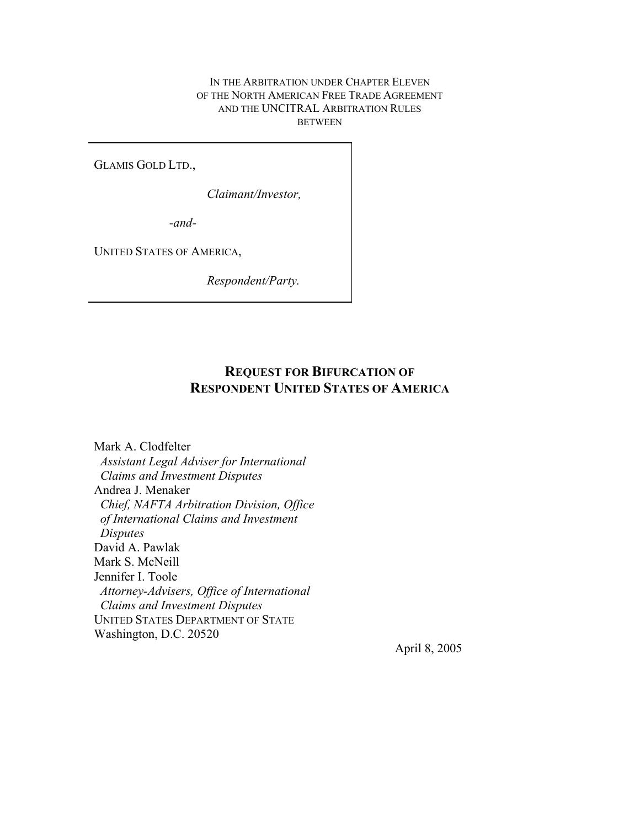#### IN THE ARBITRATION UNDER CHAPTER ELEVEN OF THE NORTH AMERICAN FREE TRADE AGREEMENT AND THE UNCITRAL ARBITRATION RULES BETWEEN

GLAMIS GOLD LTD.,

*Claimant/Investor,* 

*-and-*

UNITED STATES OF AMERICA,

*Respondent/Party.*

# **REQUEST FOR BIFURCATION OF RESPONDENT UNITED STATES OF AMERICA**

Mark A. Clodfelter *Assistant Legal Adviser for International Claims and Investment Disputes* Andrea J. Menaker *Chief, NAFTA Arbitration Division, Office of International Claims and Investment Disputes* David A. Pawlak Mark S. McNeill Jennifer I. Toole *Attorney-Advisers, Office of International Claims and Investment Disputes* UNITED STATES DEPARTMENT OF STATE Washington, D.C. 20520

April 8, 2005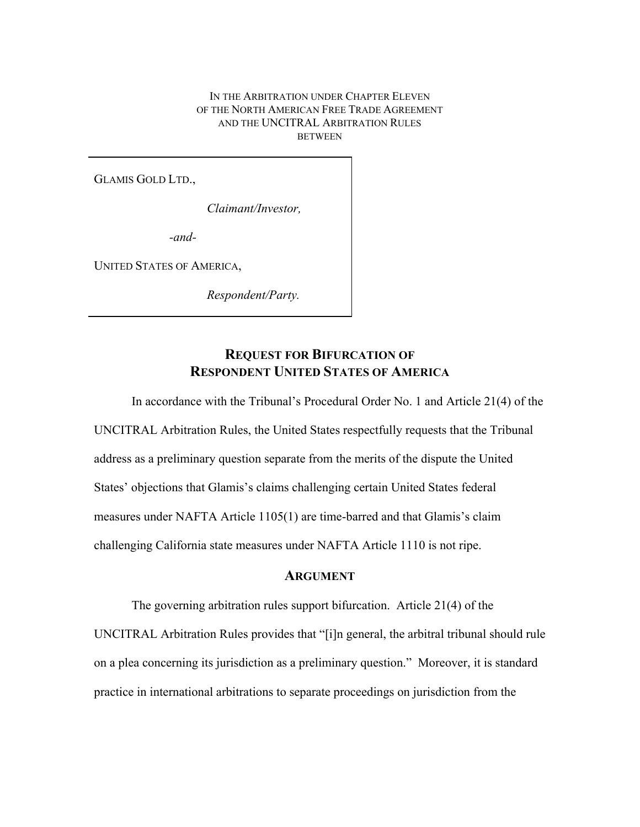IN THE ARBITRATION UNDER CHAPTER ELEVEN OF THE NORTH AMERICAN FREE TRADE AGREEMENT AND THE UNCITRAL ARBITRATION RULES **BETWEEN** 

GLAMIS GOLD LTD.,

*Claimant/Investor,* 

*-and-*

UNITED STATES OF AMERICA,

*Respondent/Party.*

## **REQUEST FOR BIFURCATION OF RESPONDENT UNITED STATES OF AMERICA**

In accordance with the Tribunal's Procedural Order No. 1 and Article 21(4) of the UNCITRAL Arbitration Rules, the United States respectfully requests that the Tribunal address as a preliminary question separate from the merits of the dispute the United States' objections that Glamis's claims challenging certain United States federal measures under NAFTA Article 1105(1) are time-barred and that Glamis's claim challenging California state measures under NAFTA Article 1110 is not ripe.

### **ARGUMENT**

The governing arbitration rules support bifurcation. Article 21(4) of the

UNCITRAL Arbitration Rules provides that "[i]n general, the arbitral tribunal should rule on a plea concerning its jurisdiction as a preliminary question." Moreover, it is standard practice in international arbitrations to separate proceedings on jurisdiction from the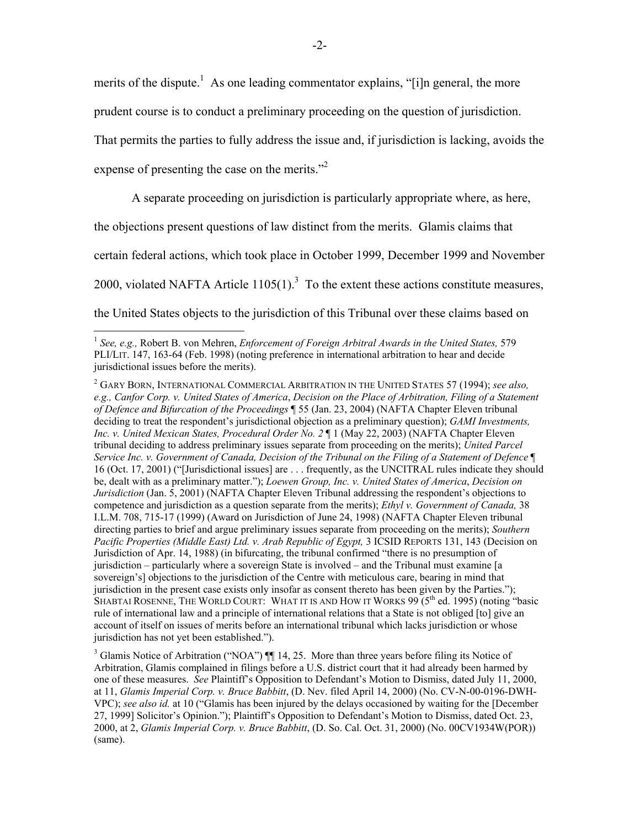merits of the dispute.<sup>1</sup> As one leading commentator explains, "[i]n general, the more

prudent course is to conduct a preliminary proceeding on the question of jurisdiction.

That permits the parties to fully address the issue and, if jurisdiction is lacking, avoids the

expense of presenting the case on the merits."<sup>2</sup>

 $\overline{a}$ 

A separate proceeding on jurisdiction is particularly appropriate where, as here,

the objections present questions of law distinct from the merits. Glamis claims that

certain federal actions, which took place in October 1999, December 1999 and November

2000, violated NAFTA Article  $1105(1)$ .<sup>3</sup> To the extent these actions constitute measures,

the United States objects to the jurisdiction of this Tribunal over these claims based on

<sup>1</sup> *See, e.g.,* Robert B. von Mehren, *Enforcement of Foreign Arbitral Awards in the United States,* 579 PLI/LIT. 147, 163-64 (Feb. 1998) (noting preference in international arbitration to hear and decide jurisdictional issues before the merits).

<sup>2</sup> GARY BORN, INTERNATIONAL COMMERCIAL ARBITRATION IN THE UNITED STATES 57 (1994); *see also, e.g., Canfor Corp. v. United States of America*, *Decision on the Place of Arbitration, Filing of a Statement of Defence and Bifurcation of the Proceedings* ¶ 55 (Jan. 23, 2004) (NAFTA Chapter Eleven tribunal deciding to treat the respondent's jurisdictional objection as a preliminary question); *GAMI Investments, Inc. v. United Mexican States, Procedural Order No. 2* ¶ 1 (May 22, 2003) (NAFTA Chapter Eleven tribunal deciding to address preliminary issues separate from proceeding on the merits); *United Parcel Service Inc. v. Government of Canada, Decision of the Tribunal on the Filing of a Statement of Defence* ¶ 16 (Oct. 17, 2001) ("[Jurisdictional issues] are . . . frequently, as the UNCITRAL rules indicate they should be, dealt with as a preliminary matter."); *Loewen Group, Inc. v. United States of America*, *Decision on Jurisdiction* (Jan. 5, 2001) (NAFTA Chapter Eleven Tribunal addressing the respondent's objections to competence and jurisdiction as a question separate from the merits); *Ethyl v. Government of Canada,* 38 I.L.M. 708, 715-17 (1999) (Award on Jurisdiction of June 24, 1998) (NAFTA Chapter Eleven tribunal directing parties to brief and argue preliminary issues separate from proceeding on the merits); *Southern Pacific Properties (Middle East) Ltd. v. Arab Republic of Egypt,* 3 ICSID REPORTS 131, 143 (Decision on Jurisdiction of Apr. 14, 1988) (in bifurcating, the tribunal confirmed "there is no presumption of jurisdiction – particularly where a sovereign State is involved – and the Tribunal must examine [a sovereign's] objections to the jurisdiction of the Centre with meticulous care, bearing in mind that jurisdiction in the present case exists only insofar as consent thereto has been given by the Parties."); SHABTAI ROSENNE, THE WORLD COURT: WHAT IT IS AND HOW IT WORKS  $99\,$  ( $5<sup>th</sup>$  ed. 1995) (noting "basic rule of international law and a principle of international relations that a State is not obliged [to] give an account of itself on issues of merits before an international tribunal which lacks jurisdiction or whose jurisdiction has not yet been established.").

<sup>&</sup>lt;sup>3</sup> Glamis Notice of Arbitration ("NOA")  $\P\P$  14, 25. More than three years before filing its Notice of Arbitration, Glamis complained in filings before a U.S. district court that it had already been harmed by one of these measures. *See* Plaintiff's Opposition to Defendant's Motion to Dismiss, dated July 11, 2000, at 11, *Glamis Imperial Corp. v. Bruce Babbitt*, (D. Nev. filed April 14, 2000) (No. CV-N-00-0196-DWH-VPC); *see also id.* at 10 ("Glamis has been injured by the delays occasioned by waiting for the [December 27, 1999] Solicitor's Opinion."); Plaintiff's Opposition to Defendant's Motion to Dismiss, dated Oct. 23, 2000, at 2, *Glamis Imperial Corp. v. Bruce Babbitt*, (D. So. Cal. Oct. 31, 2000) (No. 00CV1934W(POR)) (same).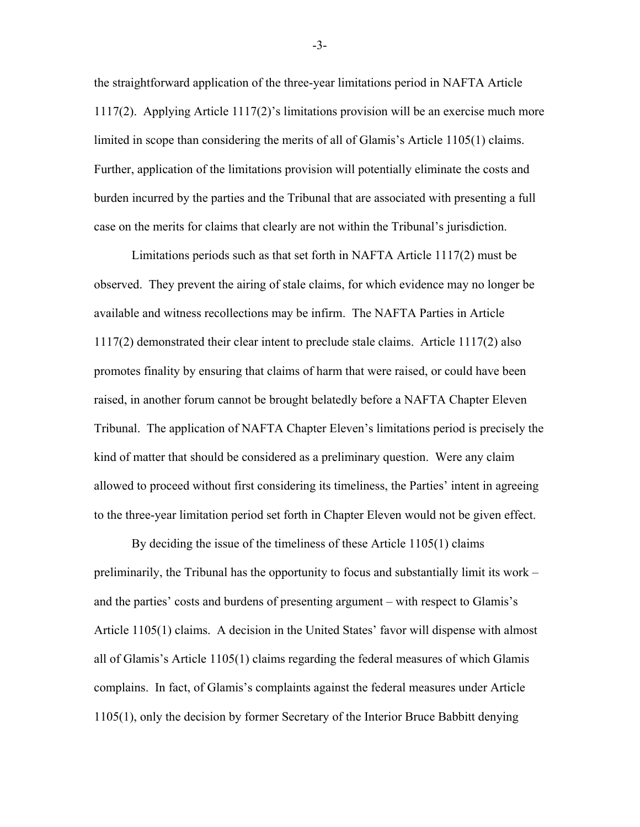the straightforward application of the three-year limitations period in NAFTA Article 1117(2). Applying Article 1117(2)'s limitations provision will be an exercise much more limited in scope than considering the merits of all of Glamis's Article 1105(1) claims. Further, application of the limitations provision will potentially eliminate the costs and burden incurred by the parties and the Tribunal that are associated with presenting a full case on the merits for claims that clearly are not within the Tribunal's jurisdiction.

Limitations periods such as that set forth in NAFTA Article 1117(2) must be observed. They prevent the airing of stale claims, for which evidence may no longer be available and witness recollections may be infirm. The NAFTA Parties in Article 1117(2) demonstrated their clear intent to preclude stale claims. Article 1117(2) also promotes finality by ensuring that claims of harm that were raised, or could have been raised, in another forum cannot be brought belatedly before a NAFTA Chapter Eleven Tribunal. The application of NAFTA Chapter Eleven's limitations period is precisely the kind of matter that should be considered as a preliminary question. Were any claim allowed to proceed without first considering its timeliness, the Parties' intent in agreeing to the three-year limitation period set forth in Chapter Eleven would not be given effect.

By deciding the issue of the timeliness of these Article 1105(1) claims preliminarily, the Tribunal has the opportunity to focus and substantially limit its work – and the parties' costs and burdens of presenting argument – with respect to Glamis's Article 1105(1) claims. A decision in the United States' favor will dispense with almost all of Glamis's Article 1105(1) claims regarding the federal measures of which Glamis complains. In fact, of Glamis's complaints against the federal measures under Article 1105(1), only the decision by former Secretary of the Interior Bruce Babbitt denying

-3-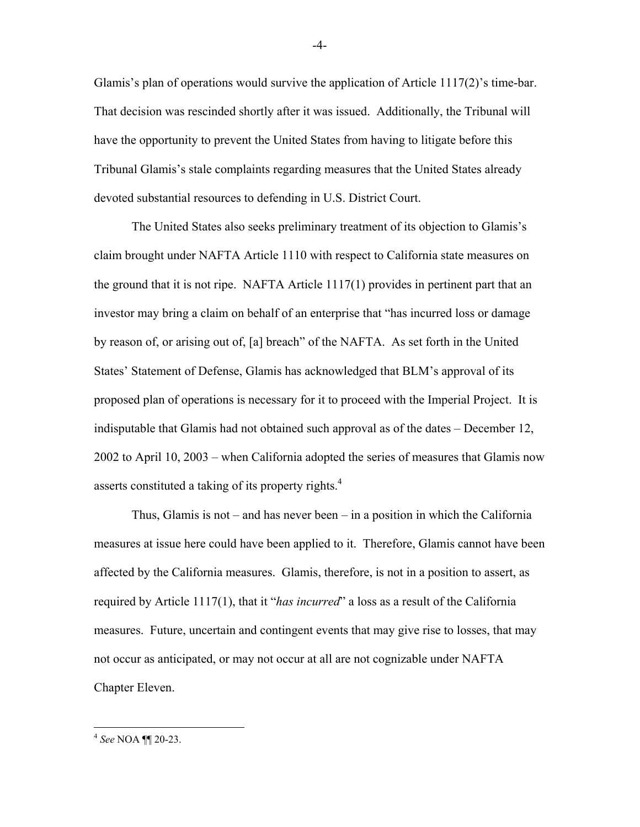Glamis's plan of operations would survive the application of Article 1117(2)'s time-bar. That decision was rescinded shortly after it was issued. Additionally, the Tribunal will have the opportunity to prevent the United States from having to litigate before this Tribunal Glamis's stale complaints regarding measures that the United States already devoted substantial resources to defending in U.S. District Court.

The United States also seeks preliminary treatment of its objection to Glamis's claim brought under NAFTA Article 1110 with respect to California state measures on the ground that it is not ripe. NAFTA Article 1117(1) provides in pertinent part that an investor may bring a claim on behalf of an enterprise that "has incurred loss or damage by reason of, or arising out of, [a] breach" of the NAFTA. As set forth in the United States' Statement of Defense, Glamis has acknowledged that BLM's approval of its proposed plan of operations is necessary for it to proceed with the Imperial Project. It is indisputable that Glamis had not obtained such approval as of the dates – December 12, 2002 to April 10, 2003 – when California adopted the series of measures that Glamis now asserts constituted a taking of its property rights.<sup>4</sup>

Thus, Glamis is not – and has never been – in a position in which the California measures at issue here could have been applied to it. Therefore, Glamis cannot have been affected by the California measures. Glamis, therefore, is not in a position to assert, as required by Article 1117(1), that it "*has incurred*" a loss as a result of the California measures. Future, uncertain and contingent events that may give rise to losses, that may not occur as anticipated, or may not occur at all are not cognizable under NAFTA Chapter Eleven.

-4-

 $\overline{a}$ 

<sup>4</sup>  *See* NOA ¶¶ 20-23.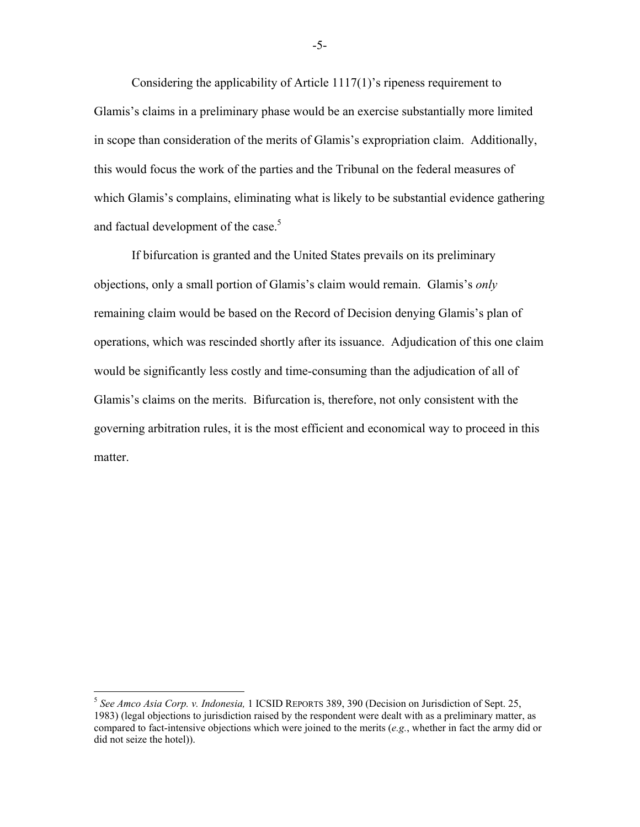Considering the applicability of Article 1117(1)'s ripeness requirement to Glamis's claims in a preliminary phase would be an exercise substantially more limited in scope than consideration of the merits of Glamis's expropriation claim. Additionally, this would focus the work of the parties and the Tribunal on the federal measures of which Glamis's complains, eliminating what is likely to be substantial evidence gathering and factual development of the case.<sup>5</sup>

If bifurcation is granted and the United States prevails on its preliminary objections, only a small portion of Glamis's claim would remain. Glamis's *only*  remaining claim would be based on the Record of Decision denying Glamis's plan of operations, which was rescinded shortly after its issuance. Adjudication of this one claim would be significantly less costly and time-consuming than the adjudication of all of Glamis's claims on the merits. Bifurcation is, therefore, not only consistent with the governing arbitration rules, it is the most efficient and economical way to proceed in this matter.

 $\overline{a}$ 

-5-

<sup>5</sup> *See Amco Asia Corp. v. Indonesia,* 1 ICSID REPORTS 389, 390 (Decision on Jurisdiction of Sept. 25, 1983) (legal objections to jurisdiction raised by the respondent were dealt with as a preliminary matter, as compared to fact-intensive objections which were joined to the merits (*e.g.*, whether in fact the army did or did not seize the hotel)).